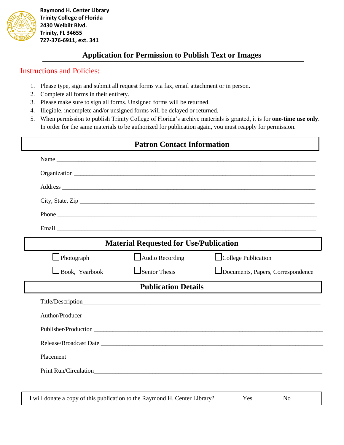

 **Raymond H. Center Library Trinity College of Florida 2430 Welbilt Blvd. Trinity, FL 34655 727-376-6911, ext. 341**

## **Application for Permission to Publish Text or Images**

## Instructions and Policies:

- 1. Please type, sign and submit all request forms via fax, email attachment or in person.
- 2. Complete all forms in their entirety.
- 3. Please make sure to sign all forms. Unsigned forms will be returned.
- 4. Illegible, incomplete and/or unsigned forms will be delayed or returned.
- 5. When permission to publish Trinity College of Florida's archive materials is granted, it is for **one-time use only**. In order for the same materials to be authorized for publication again, you must reapply for permission.

| <b>Patron Contact Information</b> |                                                                            |                                   |
|-----------------------------------|----------------------------------------------------------------------------|-----------------------------------|
|                                   |                                                                            |                                   |
|                                   |                                                                            |                                   |
|                                   |                                                                            |                                   |
|                                   |                                                                            | City, State, Zip                  |
|                                   |                                                                            |                                   |
|                                   |                                                                            |                                   |
|                                   | <b>Material Requested for Use/Publication</b>                              |                                   |
| $\Box$ Photograph                 | Audio Recording                                                            | College Publication               |
| $\Box$ Book, Yearbook             | $\Box$ Senior Thesis                                                       | Documents, Papers, Correspondence |
|                                   | <b>Publication Details</b>                                                 |                                   |
|                                   |                                                                            |                                   |
|                                   |                                                                            | Author/Producer                   |
|                                   |                                                                            |                                   |
|                                   |                                                                            |                                   |
| Placement                         |                                                                            |                                   |
|                                   |                                                                            |                                   |
|                                   |                                                                            |                                   |
|                                   | I will donate a copy of this publication to the Raymond H. Center Library? | Yes<br>N <sub>0</sub>             |